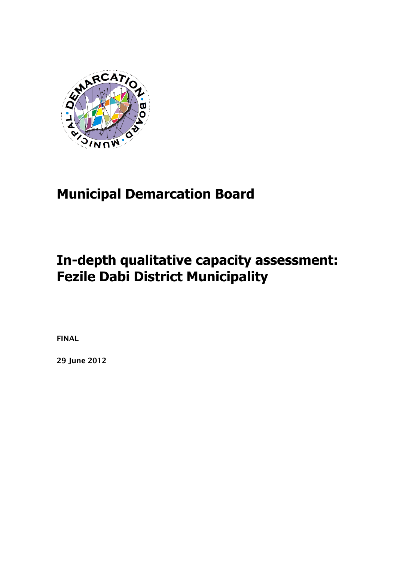

# **Municipal Demarcation Board**

# **In-depth qualitative capacity assessment: Fezile Dabi District Municipality**

**FINAL**

**29 June 2012**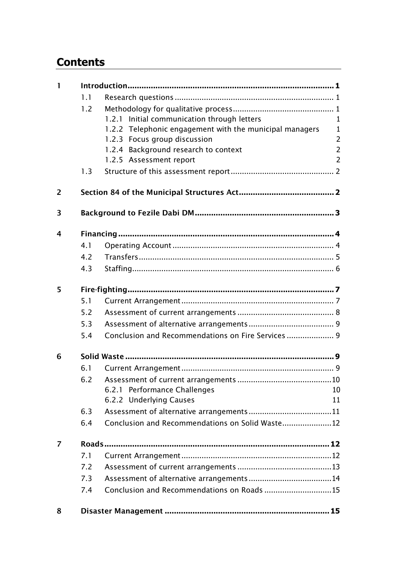## **Contents**

| $\mathbf{I}$ |     |                                                         |                |
|--------------|-----|---------------------------------------------------------|----------------|
|              | 1.1 |                                                         |                |
|              | 1.2 |                                                         |                |
|              |     | 1.2.1 Initial communication through letters             | $\mathbf{1}$   |
|              |     | 1.2.2 Telephonic engagement with the municipal managers | $\mathbf{1}$   |
|              |     | 1.2.3 Focus group discussion                            | $\overline{2}$ |
|              |     | 1.2.4 Background research to context                    | $\overline{2}$ |
|              |     | 1.2.5 Assessment report                                 | $\overline{2}$ |
|              | 1.3 |                                                         |                |
| 2            |     |                                                         |                |
| 3            |     |                                                         |                |
| 4            |     |                                                         |                |
|              | 4.1 |                                                         |                |
|              | 4.2 |                                                         |                |
|              | 4.3 |                                                         |                |
| 5            |     |                                                         |                |
|              | 5.1 |                                                         |                |
|              | 5.2 |                                                         |                |
|              | 5.3 |                                                         |                |
|              | 5.4 |                                                         |                |
| 6            |     |                                                         |                |
|              | 6.1 |                                                         |                |
|              | 6.2 |                                                         |                |
|              |     | 6.2.1 Performance Challenges                            | 10             |
|              |     | 6.2.2 Underlying Causes                                 | 11             |
|              | 6.3 |                                                         |                |
|              | 6.4 | Conclusion and Recommendations on Solid Waste12         |                |
| 7            |     |                                                         |                |
|              | 7.1 |                                                         |                |
|              | 7.2 |                                                         |                |
|              | 7.3 |                                                         |                |
|              | 7.4 | Conclusion and Recommendations on Roads 15              |                |
| 8            |     |                                                         |                |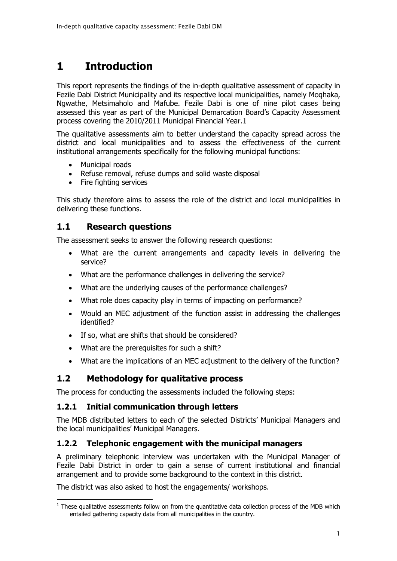## <span id="page-3-0"></span>**1 Introduction**

This report represents the findings of the in-depth qualitative assessment of capacity in Fezile Dabi District Municipality and its respective local municipalities, namely Moqhaka, Ngwathe, Metsimaholo and Mafube. Fezile Dabi is one of nine pilot cases being assessed this year as part of the Municipal Demarcation Board's Capacity Assessment process covering the 2010/2011 Municipal Financial Year.1

The qualitative assessments aim to better understand the capacity spread across the district and local municipalities and to assess the effectiveness of the current institutional arrangements specifically for the following municipal functions:

- Municipal roads
- Refuse removal, refuse dumps and solid waste disposal
- Fire fighting services

This study therefore aims to assess the role of the district and local municipalities in delivering these functions.

## <span id="page-3-1"></span>**1.1 Research questions**

The assessment seeks to answer the following research questions:

- What are the current arrangements and capacity levels in delivering the service?
- What are the performance challenges in delivering the service?
- What are the underlying causes of the performance challenges?
- What role does capacity play in terms of impacting on performance?
- Would an MEC adjustment of the function assist in addressing the challenges identified?
- If so, what are shifts that should be considered?
- What are the prerequisites for such a shift?
- What are the implications of an MEC adjustment to the delivery of the function?

## <span id="page-3-2"></span>**1.2 Methodology for qualitative process**

The process for conducting the assessments included the following steps:

### <span id="page-3-3"></span>**1.2.1 Initial communication through letters**

The MDB distributed letters to each of the selected Districts' Municipal Managers and the local municipalities' Municipal Managers.

### <span id="page-3-4"></span>**1.2.2 Telephonic engagement with the municipal managers**

A preliminary telephonic interview was undertaken with the Municipal Manager of Fezile Dabi District in order to gain a sense of current institutional and financial arrangement and to provide some background to the context in this district.

The district was also asked to host the engagements/ workshops.

<sup>-</sup> $<sup>1</sup>$  These qualitative assessments follow on from the quantitative data collection process of the MDB which</sup> entailed gathering capacity data from all municipalities in the country.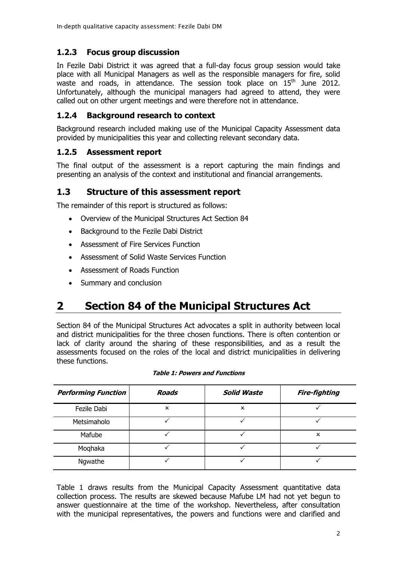### <span id="page-4-0"></span>**1.2.3 Focus group discussion**

In Fezile Dabi District it was agreed that a full-day focus group session would take place with all Municipal Managers as well as the responsible managers for fire, solid waste and roads, in attendance. The session took place on  $15<sup>th</sup>$  June 2012. Unfortunately, although the municipal managers had agreed to attend, they were called out on other urgent meetings and were therefore not in attendance.

### <span id="page-4-1"></span>**1.2.4 Background research to context**

Background research included making use of the Municipal Capacity Assessment data provided by municipalities this year and collecting relevant secondary data.

### <span id="page-4-2"></span>**1.2.5 Assessment report**

The final output of the assessment is a report capturing the main findings and presenting an analysis of the context and institutional and financial arrangements.

### <span id="page-4-3"></span>**1.3 Structure of this assessment report**

The remainder of this report is structured as follows:

- Overview of the Municipal Structures Act Section 84
- Background to the Fezile Dabi District
- Assessment of Fire Services Function
- Assessment of Solid Waste Services Function
- Assessment of Roads Function
- Summary and conclusion

## <span id="page-4-4"></span>**2 Section 84 of the Municipal Structures Act**

Section 84 of the Municipal Structures Act advocates a split in authority between local and district municipalities for the three chosen functions. There is often contention or lack of clarity around the sharing of these responsibilities, and as a result the assessments focused on the roles of the local and district municipalities in delivering these functions.

<span id="page-4-5"></span>

| <b>Performing Function</b> | Roads | <b>Solid Waste</b> | <b>Fire-fighting</b> |
|----------------------------|-------|--------------------|----------------------|
| Fezile Dabi                | x     | ×                  |                      |
| Metsimaholo                |       |                    |                      |
| Mafube                     |       |                    | x                    |
| Moghaka                    |       |                    |                      |
| Ngwathe                    |       |                    |                      |

#### **Table 1: Powers and Functions**

[Table 1](#page-4-5) draws results from the Municipal Capacity Assessment quantitative data collection process. The results are skewed because Mafube LM had not yet begun to answer questionnaire at the time of the workshop. Nevertheless, after consultation with the municipal representatives, the powers and functions were and clarified and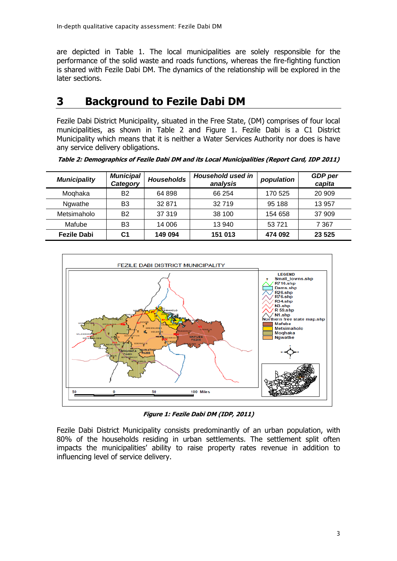are depicted in [Table 1.](#page-4-5) The local municipalities are solely responsible for the performance of the solid waste and roads functions, whereas the fire-fighting function is shared with Fezile Dabi DM. The dynamics of the relationship will be explored in the later sections.

## <span id="page-5-0"></span>**3 Background to Fezile Dabi DM**

Fezile Dabi District Municipality, situated in the Free State, (DM) comprises of four local municipalities, as shown in [Table 2](#page-5-1) and [Figure 1.](#page-5-2) Fezile Dabi is a C1 District Municipality which means that it is neither a Water Services Authority nor does is have any service delivery obligations.

| <b>Municipality</b> | <b>Municipal</b><br>Category | <b>Households</b> | <b>Household used in</b><br>analysis | population | GDP per<br>capita |
|---------------------|------------------------------|-------------------|--------------------------------------|------------|-------------------|
| Moghaka             | <b>B2</b>                    | 64 898            | 66 254                               | 170 525    | 20 909            |
| Ngwathe             | B3                           | 32 871            | 32719                                | 95 188     | 13 957            |
| Metsimaholo         | <b>B2</b>                    | 37 319            | 38 100                               | 154 658    | 37 909            |
| Mafube              | B3                           | 14 006            | 13 940                               | 53721      | 7 367             |
| <b>Fezile Dabi</b>  | С1                           | 149 094           | 151 013                              | 474 092    | 23 5 25           |

<span id="page-5-1"></span>**Table 2: Demographics of Fezile Dabi DM and its Local Municipalities (Report Card, IDP 2011)**



**Figure 1: Fezile Dabi DM (IDP, 2011)**

<span id="page-5-2"></span>Fezile Dabi District Municipality consists predominantly of an urban population, with 80% of the households residing in urban settlements. The settlement split often impacts the municipalities' ability to raise property rates revenue in addition to influencing level of service delivery.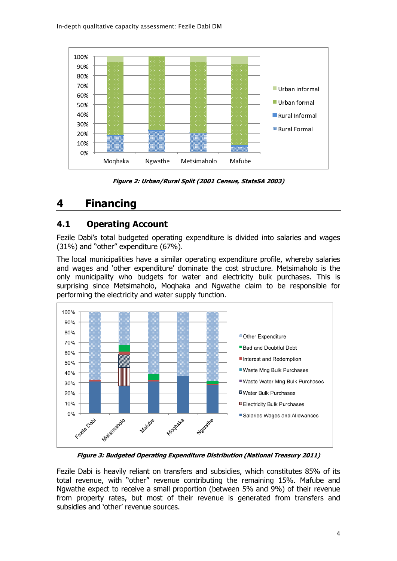

**Figure 2: Urban/Rural Split (2001 Census, StatsSA 2003)**

## <span id="page-6-0"></span>**4 Financing**

## <span id="page-6-1"></span>**4.1 Operating Account**

Fezile Dabi's total budgeted operating expenditure is divided into salaries and wages (31%) and "other" expenditure (67%).

The local municipalities have a similar operating expenditure profile, whereby salaries and wages and 'other expenditure' dominate the cost structure. Metsimaholo is the only municipality who budgets for water and electricity bulk purchases. This is surprising since Metsimaholo, Moqhaka and Ngwathe claim to be responsible for performing the electricity and water supply function.



**Figure 3: Budgeted Operating Expenditure Distribution (National Treasury 2011)**

Fezile Dabi is heavily reliant on transfers and subsidies, which constitutes 85% of its total revenue, with "other" revenue contributing the remaining 15%. Mafube and Ngwathe expect to receive a small proportion (between 5% and 9%) of their revenue from property rates, but most of their revenue is generated from transfers and subsidies and 'other' revenue sources.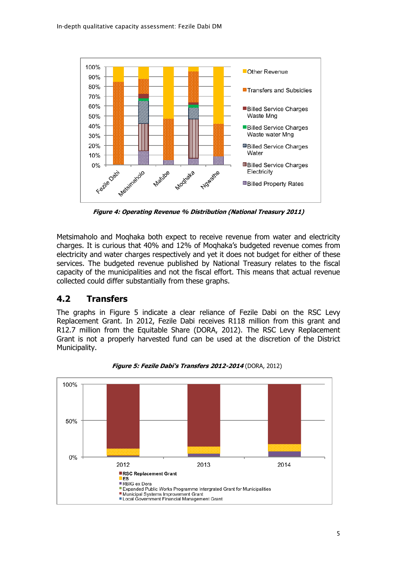

**Figure 4: Operating Revenue % Distribution (National Treasury 2011)**

Metsimaholo and Moqhaka both expect to receive revenue from water and electricity charges. It is curious that 40% and 12% of Moqhaka's budgeted revenue comes from electricity and water charges respectively and yet it does not budget for either of these services. The budgeted revenue published by National Treasury relates to the fiscal capacity of the municipalities and not the fiscal effort. This means that actual revenue collected could differ substantially from these graphs.

## <span id="page-7-0"></span>**4.2 Transfers**

The graphs in [Figure 5](#page-7-1) indicate a clear reliance of Fezile Dabi on the RSC Levy Replacement Grant. In 2012, Fezile Dabi receives R118 million from this grant and R12.7 million from the Equitable Share (DORA, 2012). The RSC Levy Replacement Grant is not a properly harvested fund can be used at the discretion of the District Municipality.

<span id="page-7-1"></span>

**Figure 5: Fezile Dabi's Transfers 2012-2014** (DORA, 2012)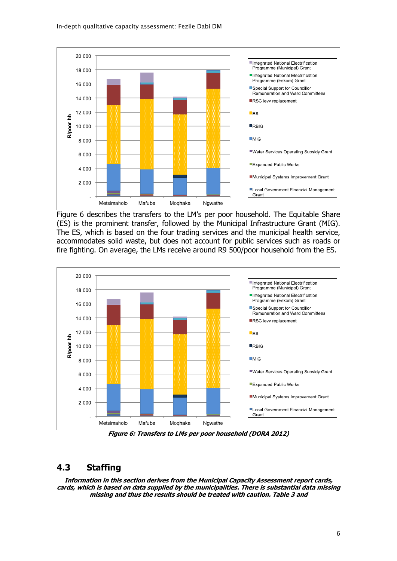

[Figure 6](#page-8-1) describes the transfers to the LM's per poor household. The Equitable Share (ES) is the prominent transfer, followed by the Municipal Infrastructure Grant (MIG). The ES, which is based on the four trading services and the municipal health service, accommodates solid waste, but does not account for public services such as roads or fire fighting. On average, the LMs receive around R9 500/poor household from the ES.

<span id="page-8-1"></span>

**Figure 6: Transfers to LMs per poor household (DORA 2012)**

### <span id="page-8-0"></span>**4.3 Staffing**

**Information in this section derives from the Municipal Capacity Assessment report cards, cards, which is based on data supplied by the municipalities. There is substantial data missing missing and thus the results should be treated with caution. [Table 3](#page-9-0) and**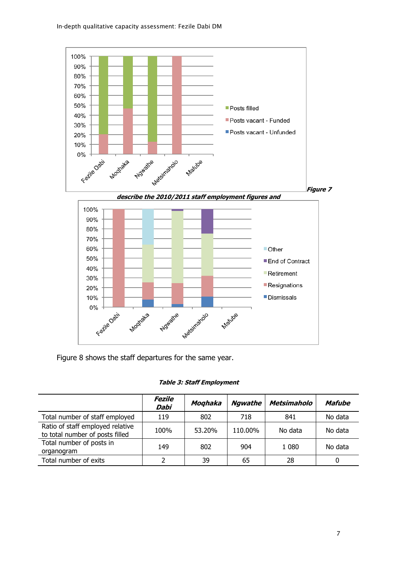

[Figure 8](#page-11-2) shows the staff departures for the same year.

|  |  |  |  | <b>Table 3: Staff Employment</b> |
|--|--|--|--|----------------------------------|
|--|--|--|--|----------------------------------|

<span id="page-9-0"></span>

|                                                                     | Fezile<br>Dabi | Moghaka | <b>Ngwathe</b> | <b>Metsimaholo</b> | Mafube  |
|---------------------------------------------------------------------|----------------|---------|----------------|--------------------|---------|
| Total number of staff employed                                      | 119            | 802     | 718            | 841                | No data |
| Ratio of staff employed relative<br>to total number of posts filled | 100%           | 53.20%  | 110.00%        | No data            | No data |
| Total number of posts in<br>organogram                              | 149            | 802     | 904            | 1 0 8 0            | No data |
| Total number of exits                                               |                | 39      | 65             | 28                 | 0       |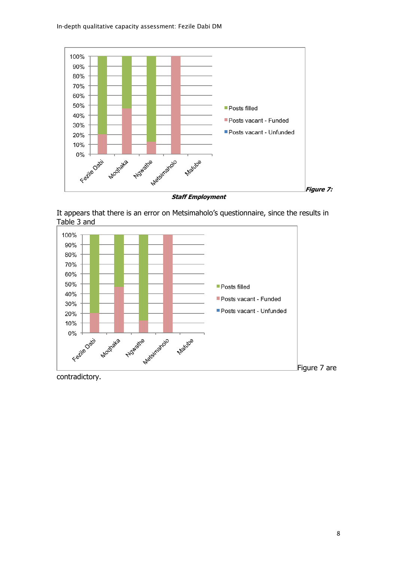<span id="page-10-0"></span>

**Staff Employment**



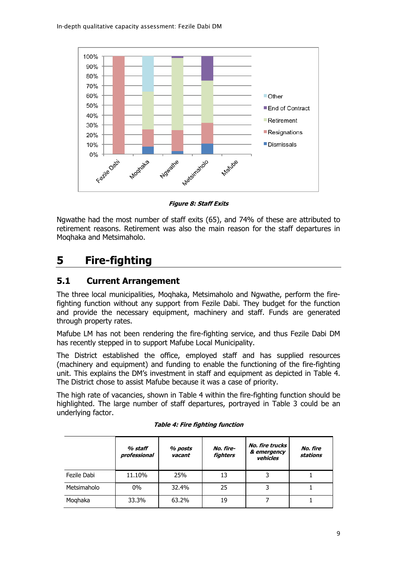<span id="page-11-2"></span>

**Figure 8: Staff Exits**

Ngwathe had the most number of staff exits (65), and 74% of these are attributed to retirement reasons. Retirement was also the main reason for the staff departures in Moqhaka and Metsimaholo.

## <span id="page-11-0"></span>**5 Fire-fighting**

## <span id="page-11-1"></span>**5.1 Current Arrangement**

The three local municipalities, Moqhaka, Metsimaholo and Ngwathe, perform the firefighting function without any support from Fezile Dabi. They budget for the function and provide the necessary equipment, machinery and staff. Funds are generated through property rates.

Mafube LM has not been rendering the fire-fighting service, and thus Fezile Dabi DM has recently stepped in to support Mafube Local Municipality.

The District established the office, employed staff and has supplied resources (machinery and equipment) and funding to enable the functioning of the fire-fighting unit. This explains the DM's investment in staff and equipment as depicted in [Table 4.](#page-11-3) The District chose to assist Mafube because it was a case of priority.

The high rate of vacancies, shown in [Table 4](#page-11-3) within the fire-fighting function should be highlighted. The large number of staff departures, portrayed in [Table 3](#page-9-0) could be an underlying factor.

<span id="page-11-3"></span>

|             | % staff<br>professional | % posts<br>vacant | No. fire-<br><b>fighters</b> | No. fire trucks<br>& emergency<br>vehicles | No. fire<br>stations |
|-------------|-------------------------|-------------------|------------------------------|--------------------------------------------|----------------------|
| Fezile Dabi | 11.10%                  | 25%               | 13                           | 3                                          |                      |
| Metsimaholo | 0%                      | 32.4%             | 25                           |                                            |                      |
| Moghaka     | 33.3%                   | 63.2%             | 19                           |                                            |                      |

#### **Table 4: Fire fighting function**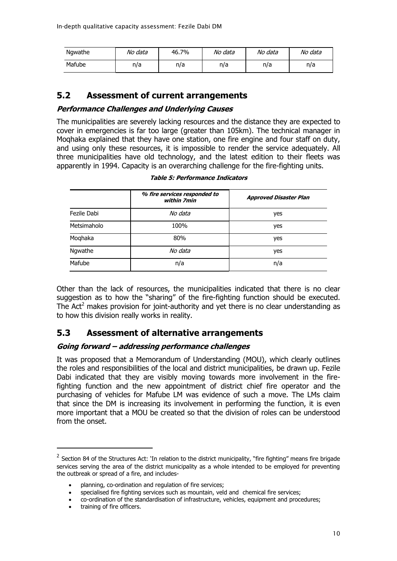| Ngwathe | No data | 46.7% | No data | No data | No data |
|---------|---------|-------|---------|---------|---------|
| Mafube  | n/a     | n/a   | n/a     | n/a     | n/a     |

### <span id="page-12-0"></span>**5.2 Assessment of current arrangements**

#### **Performance Challenges and Underlying Causes**

The municipalities are severely lacking resources and the distance they are expected to cover in emergencies is far too large (greater than 105km). The technical manager in Moqhaka explained that they have one station, one fire engine and four staff on duty, and using only these resources, it is impossible to render the service adequately. All three municipalities have old technology, and the latest edition to their fleets was apparently in 1994. Capacity is an overarching challenge for the fire-fighting units.

|             | % fire services responded to<br>within 7min | <b>Approved Disaster Plan</b> |
|-------------|---------------------------------------------|-------------------------------|
| Fezile Dabi | No data                                     | yes                           |
| Metsimaholo | 100%                                        | yes                           |
| Moqhaka     | 80%                                         | yes                           |
| Ngwathe     | No data                                     | yes                           |
| Mafube      | n/a                                         | n/a                           |

**Table 5: Performance Indicators**

Other than the lack of resources, the municipalities indicated that there is no clear suggestion as to how the "sharing" of the fire-fighting function should be executed. The Act<sup>2</sup> makes provision for joint-authority and yet there is no clear understanding as to how this division really works in reality.

## <span id="page-12-1"></span>**5.3 Assessment of alternative arrangements**

#### **Going forward – addressing performance challenges**

It was proposed that a Memorandum of Understanding (MOU), which clearly outlines the roles and responsibilities of the local and district municipalities, be drawn up. Fezile Dabi indicated that they are visibly moving towards more involvement in the firefighting function and the new appointment of district chief fire operator and the purchasing of vehicles for Mafube LM was evidence of such a move. The LMs claim that since the DM is increasing its involvement in performing the function, it is even more important that a MOU be created so that the division of roles can be understood from the onset.

-

<sup>&</sup>lt;sup>2</sup> Section 84 of the Structures Act: 'In relation to the district municipality, "fire fighting" means fire brigade services serving the area of the district municipality as a whole intended to be employed for preventing the outbreak or spread of a fire, and includes-

planning, co-ordination and regulation of fire services;

specialised fire fighting services such as mountain, veld and chemical fire services;

co-ordination of the standardisation of infrastructure, vehicles, equipment and procedures;

training of fire officers.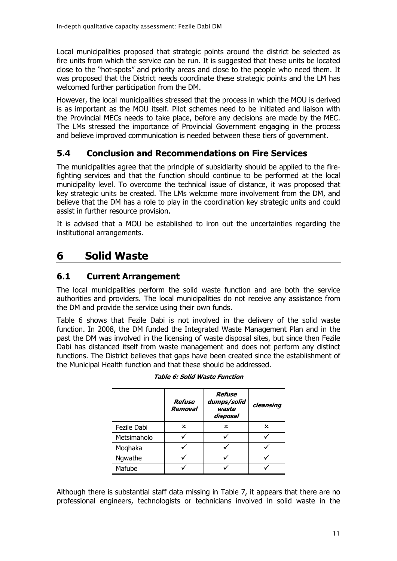Local municipalities proposed that strategic points around the district be selected as fire units from which the service can be run. It is suggested that these units be located close to the "hot-spots" and priority areas and close to the people who need them. It was proposed that the District needs coordinate these strategic points and the LM has welcomed further participation from the DM.

However, the local municipalities stressed that the process in which the MOU is derived is as important as the MOU itself. Pilot schemes need to be initiated and liaison with the Provincial MECs needs to take place, before any decisions are made by the MEC. The LMs stressed the importance of Provincial Government engaging in the process and believe improved communication is needed between these tiers of government.

## <span id="page-13-0"></span>**5.4 Conclusion and Recommendations on Fire Services**

The municipalities agree that the principle of subsidiarity should be applied to the firefighting services and that the function should continue to be performed at the local municipality level. To overcome the technical issue of distance, it was proposed that key strategic units be created. The LMs welcome more involvement from the DM, and believe that the DM has a role to play in the coordination key strategic units and could assist in further resource provision.

It is advised that a MOU be established to iron out the uncertainties regarding the institutional arrangements.

## <span id="page-13-1"></span>**6 Solid Waste**

## <span id="page-13-2"></span>**6.1 Current Arrangement**

The local municipalities perform the solid waste function and are both the service authorities and providers. The local municipalities do not receive any assistance from the DM and provide the service using their own funds.

<span id="page-13-3"></span>[Table 6](#page-13-3) shows that Fezile Dabi is not involved in the delivery of the solid waste function. In 2008, the DM funded the Integrated Waste Management Plan and in the past the DM was involved in the licensing of waste disposal sites, but since then Fezile Dabi has distanced itself from waste management and does not perform any distinct functions. The District believes that gaps have been created since the establishment of the Municipal Health function and that these should be addressed.

|             | Refuse<br>Removal | <b>Refuse</b><br>dumps/solid<br>waste<br>disposal | cleansing |
|-------------|-------------------|---------------------------------------------------|-----------|
| Fezile Dabi | x                 | ×                                                 | ×         |
| Metsimaholo |                   |                                                   |           |
| Moghaka     |                   |                                                   |           |
| Ngwathe     |                   |                                                   |           |
| Mafube      |                   |                                                   |           |

**Table 6: Solid Waste Function**

Although there is substantial staff data missing in [Table 7,](#page-14-3) it appears that there are no professional engineers, technologists or technicians involved in solid waste in the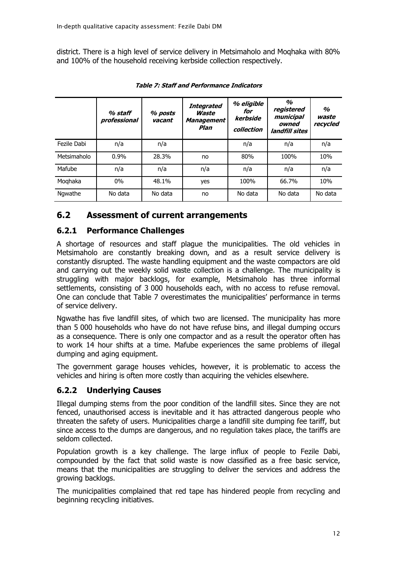district. There is a high level of service delivery in Metsimaholo and Moqhaka with 80% and 100% of the household receiving kerbside collection respectively.

<span id="page-14-3"></span>

|             | % staff<br>professional | % posts<br>vacant | Integrated<br>Waste<br>Management<br>Plan | % eligible<br>for<br>kerbside<br>collection | $\frac{a}{2}$<br>registered<br>municipal<br>owned<br>landfill sites | $\frac{a}{2}$<br>waste<br>recycled |
|-------------|-------------------------|-------------------|-------------------------------------------|---------------------------------------------|---------------------------------------------------------------------|------------------------------------|
| Fezile Dabi | n/a                     | n/a               |                                           | n/a                                         | n/a                                                                 | n/a                                |
| Metsimaholo | 0.9%                    | 28.3%             | no                                        | 80%                                         | 100%                                                                | 10%                                |
| Mafube      | n/a                     | n/a               | n/a                                       | n/a                                         | n/a                                                                 | n/a                                |
| Moghaka     | $0\%$                   | 48.1%             | yes                                       | 100%                                        | 66.7%                                                               | 10%                                |
| Ngwathe     | No data                 | No data           | no                                        | No data                                     | No data                                                             | No data                            |

**Table 7: Staff and Performance Indicators**

## <span id="page-14-0"></span>**6.2 Assessment of current arrangements**

### <span id="page-14-1"></span>**6.2.1 Performance Challenges**

A shortage of resources and staff plague the municipalities. The old vehicles in Metsimaholo are constantly breaking down, and as a result service delivery is constantly disrupted. The waste handling equipment and the waste compactors are old and carrying out the weekly solid waste collection is a challenge. The municipality is struggling with major backlogs, for example, Metsimaholo has three informal settlements, consisting of 3 000 households each, with no access to refuse removal. One can conclude that [Table 7](#page-14-3) overestimates the municipalities' performance in terms of service delivery.

Ngwathe has five landfill sites, of which two are licensed. The municipality has more than 5 000 households who have do not have refuse bins, and illegal dumping occurs as a consequence. There is only one compactor and as a result the operator often has to work 14 hour shifts at a time. Mafube experiences the same problems of illegal dumping and aging equipment.

The government garage houses vehicles, however, it is problematic to access the vehicles and hiring is often more costly than acquiring the vehicles elsewhere.

## <span id="page-14-2"></span>**6.2.2 Underlying Causes**

Illegal dumping stems from the poor condition of the landfill sites. Since they are not fenced, unauthorised access is inevitable and it has attracted dangerous people who threaten the safety of users. Municipalities charge a landfill site dumping fee tariff, but since access to the dumps are dangerous, and no regulation takes place, the tariffs are seldom collected.

Population growth is a key challenge. The large influx of people to Fezile Dabi, compounded by the fact that solid waste is now classified as a free basic service, means that the municipalities are struggling to deliver the services and address the growing backlogs.

The municipalities complained that red tape has hindered people from recycling and beginning recycling initiatives.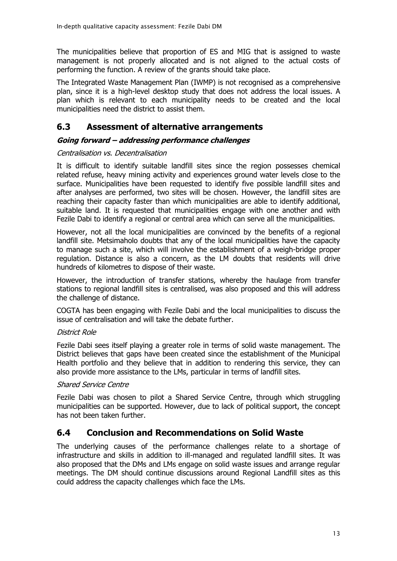The municipalities believe that proportion of ES and MIG that is assigned to waste management is not properly allocated and is not aligned to the actual costs of performing the function. A review of the grants should take place.

The Integrated Waste Management Plan (IWMP) is not recognised as a comprehensive plan, since it is a high-level desktop study that does not address the local issues. A plan which is relevant to each municipality needs to be created and the local municipalities need the district to assist them.

## <span id="page-15-0"></span>**6.3 Assessment of alternative arrangements**

#### **Going forward – addressing performance challenges**

#### Centralisation vs. Decentralisation

It is difficult to identify suitable landfill sites since the region possesses chemical related refuse, heavy mining activity and experiences ground water levels close to the surface. Municipalities have been requested to identify five possible landfill sites and after analyses are performed, two sites will be chosen. However, the landfill sites are reaching their capacity faster than which municipalities are able to identify additional, suitable land. It is requested that municipalities engage with one another and with Fezile Dabi to identify a regional or central area which can serve all the municipalities.

However, not all the local municipalities are convinced by the benefits of a regional landfill site. Metsimaholo doubts that any of the local municipalities have the capacity to manage such a site, which will involve the establishment of a weigh-bridge proper regulation. Distance is also a concern, as the LM doubts that residents will drive hundreds of kilometres to dispose of their waste.

However, the introduction of transfer stations, whereby the haulage from transfer stations to regional landfill sites is centralised, was also proposed and this will address the challenge of distance.

COGTA has been engaging with Fezile Dabi and the local municipalities to discuss the issue of centralisation and will take the debate further.

#### District Role

Fezile Dabi sees itself playing a greater role in terms of solid waste management. The District believes that gaps have been created since the establishment of the Municipal Health portfolio and they believe that in addition to rendering this service, they can also provide more assistance to the LMs, particular in terms of landfill sites.

#### Shared Service Centre

Fezile Dabi was chosen to pilot a Shared Service Centre, through which struggling municipalities can be supported. However, due to lack of political support, the concept has not been taken further.

## <span id="page-15-1"></span>**6.4 Conclusion and Recommendations on Solid Waste**

The underlying causes of the performance challenges relate to a shortage of infrastructure and skills in addition to ill-managed and regulated landfill sites. It was also proposed that the DMs and LMs engage on solid waste issues and arrange regular meetings. The DM should continue discussions around Regional Landfill sites as this could address the capacity challenges which face the LMs.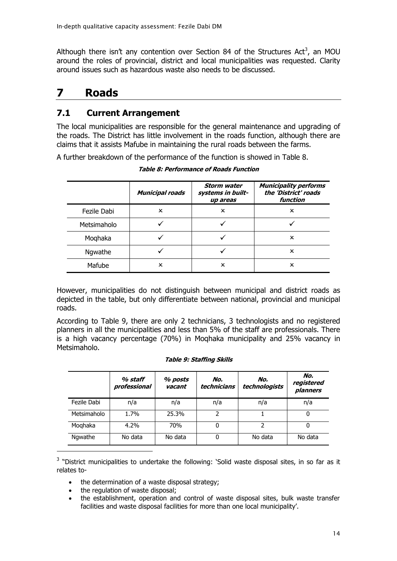Although there isn't any contention over Section 84 of the Structures Act<sup>3</sup>, an MOU around the roles of provincial, district and local municipalities was requested. Clarity around issues such as hazardous waste also needs to be discussed.

## <span id="page-16-0"></span>**7 Roads**

### <span id="page-16-1"></span>**7.1 Current Arrangement**

The local municipalities are responsible for the general maintenance and upgrading of the roads. The District has little involvement in the roads function, although there are claims that it assists Mafube in maintaining the rural roads between the farms.

<span id="page-16-2"></span>A further breakdown of the performance of the function is showed in [Table 8.](#page-16-2)

|             | <b>Municipal roads</b> | <b>Storm water</b><br>systems in built-<br>up areas | <b>Municipality performs</b><br>the 'District' roads<br>function |
|-------------|------------------------|-----------------------------------------------------|------------------------------------------------------------------|
| Fezile Dabi | x                      | x                                                   | x                                                                |
| Metsimaholo |                        |                                                     |                                                                  |
| Moghaka     |                        |                                                     | x                                                                |
| Ngwathe     |                        |                                                     | x                                                                |
| Mafube      | ×                      | x                                                   | x                                                                |

**Table 8: Performance of Roads Function**

However, municipalities do not distinguish between municipal and district roads as depicted in the table, but only differentiate between national, provincial and municipal roads.

According to [Table 9,](#page-16-3) there are only 2 technicians, 3 technologists and no registered planners in all the municipalities and less than 5% of the staff are professionals. There is a high vacancy percentage (70%) in Moqhaka municipality and 25% vacancy in Metsimaholo.

#### **Table 9: Staffing Skills**

<span id="page-16-3"></span>

|             | % staff<br>professional | % posts<br>vacant | No.<br>technicians | No.<br>technologists | No.<br>registered<br>planners |
|-------------|-------------------------|-------------------|--------------------|----------------------|-------------------------------|
| Fezile Dabi | n/a                     | n/a               | n/a                | n/a                  | n/a                           |
| Metsimaholo | 1.7%                    | 25.3%             | 2                  |                      | 0                             |
| Moghaka     | 4.2%                    | 70%               | 0                  | 2                    | 0                             |
| Ngwathe     | No data                 | No data           | 0                  | No data              | No data                       |

 $3$  "District municipalities to undertake the following: 'Solid waste disposal sites, in so far as it relates to-

- the determination of a waste disposal strategy;
- the regulation of waste disposal:

-

 the establishment, operation and control of waste disposal sites, bulk waste transfer facilities and waste disposal facilities for more than one local municipality'.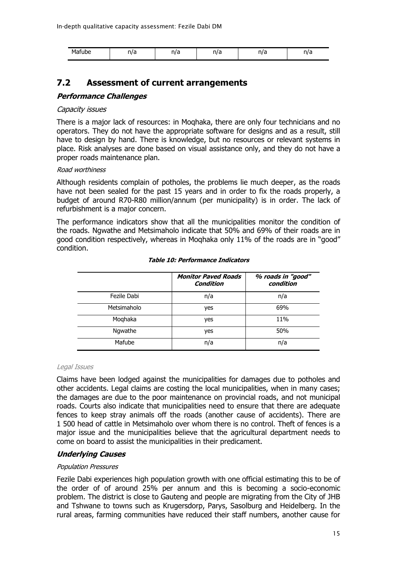| Mafube | . 17 | n/a | 512<br>. ۱٬ ၀ | 1 I I | ΠJ  |
|--------|------|-----|---------------|-------|-----|
|        | v    |     |               | u     | . . |

### <span id="page-17-0"></span>**7.2 Assessment of current arrangements**

#### **Performance Challenges**

#### Capacity issues

There is a major lack of resources: in Moqhaka, there are only four technicians and no operators. They do not have the appropriate software for designs and as a result, still have to design by hand. There is knowledge, but no resources or relevant systems in place. Risk analyses are done based on visual assistance only, and they do not have a proper roads maintenance plan.

#### Road worthiness

Although residents complain of potholes, the problems lie much deeper, as the roads have not been sealed for the past 15 years and in order to fix the roads properly, a budget of around R70-R80 million/annum (per municipality) is in order. The lack of refurbishment is a major concern.

The performance indicators show that all the municipalities monitor the condition of the roads. Ngwathe and Metsimaholo indicate that 50% and 69% of their roads are in good condition respectively, whereas in Moqhaka only 11% of the roads are in "good" condition.

|             | <b>Monitor Paved Roads</b><br>Condition | % roads in "good"<br>condition |
|-------------|-----------------------------------------|--------------------------------|
| Fezile Dabi | n/a                                     | n/a                            |
| Metsimaholo | yes                                     | 69%                            |
| Moghaka     | yes                                     | 11%                            |
| Ngwathe     | yes                                     | 50%                            |
| Mafube      | n/a                                     | n/a                            |

#### **Table 10: Performance Indicators**

#### Legal Issues

Claims have been lodged against the municipalities for damages due to potholes and other accidents. Legal claims are costing the local municipalities, when in many cases; the damages are due to the poor maintenance on provincial roads, and not municipal roads. Courts also indicate that municipalities need to ensure that there are adequate fences to keep stray animals off the roads (another cause of accidents). There are 1 500 head of cattle in Metsimaholo over whom there is no control. Theft of fences is a major issue and the municipalities believe that the agricultural department needs to come on board to assist the municipalities in their predicament.

#### **Underlying Causes**

#### Population Pressures

Fezile Dabi experiences high population growth with one official estimating this to be of the order of of around 25% per annum and this is becoming a socio-economic problem. The district is close to Gauteng and people are migrating from the City of JHB and Tshwane to towns such as Krugersdorp, Parys, Sasolburg and Heidelberg. In the rural areas, farming communities have reduced their staff numbers, another cause for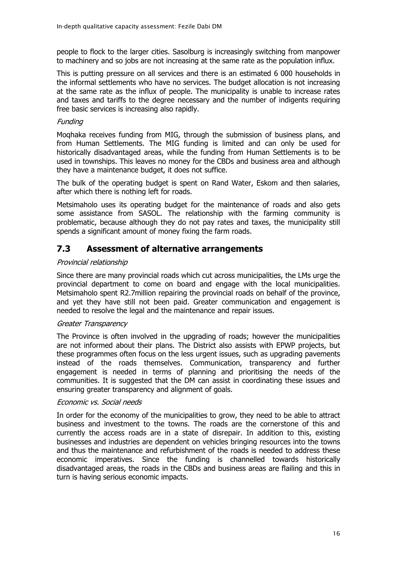people to flock to the larger cities. Sasolburg is increasingly switching from manpower to machinery and so jobs are not increasing at the same rate as the population influx.

This is putting pressure on all services and there is an estimated 6 000 households in the informal settlements who have no services. The budget allocation is not increasing at the same rate as the influx of people. The municipality is unable to increase rates and taxes and tariffs to the degree necessary and the number of indigents requiring free basic services is increasing also rapidly.

#### **Funding**

Moqhaka receives funding from MIG, through the submission of business plans, and from Human Settlements. The MIG funding is limited and can only be used for historically disadvantaged areas, while the funding from Human Settlements is to be used in townships. This leaves no money for the CBDs and business area and although they have a maintenance budget, it does not suffice.

The bulk of the operating budget is spent on Rand Water, Eskom and then salaries, after which there is nothing left for roads.

Metsimaholo uses its operating budget for the maintenance of roads and also gets some assistance from SASOL. The relationship with the farming community is problematic, because although they do not pay rates and taxes, the municipality still spends a significant amount of money fixing the farm roads.

## <span id="page-18-0"></span>**7.3 Assessment of alternative arrangements**

#### Provincial relationship

Since there are many provincial roads which cut across municipalities, the LMs urge the provincial department to come on board and engage with the local municipalities. Metsimaholo spent R2.7million repairing the provincial roads on behalf of the province, and yet they have still not been paid. Greater communication and engagement is needed to resolve the legal and the maintenance and repair issues.

#### Greater Transparency

The Province is often involved in the upgrading of roads; however the municipalities are not informed about their plans. The District also assists with EPWP projects, but these programmes often focus on the less urgent issues, such as upgrading pavements instead of the roads themselves. Communication, transparency and further engagement is needed in terms of planning and prioritising the needs of the communities. It is suggested that the DM can assist in coordinating these issues and ensuring greater transparency and alignment of goals.

#### Economic vs. Social needs

In order for the economy of the municipalities to grow, they need to be able to attract business and investment to the towns. The roads are the cornerstone of this and currently the access roads are in a state of disrepair. In addition to this, existing businesses and industries are dependent on vehicles bringing resources into the towns and thus the maintenance and refurbishment of the roads is needed to address these economic imperatives. Since the funding is channelled towards historically disadvantaged areas, the roads in the CBDs and business areas are flailing and this in turn is having serious economic impacts.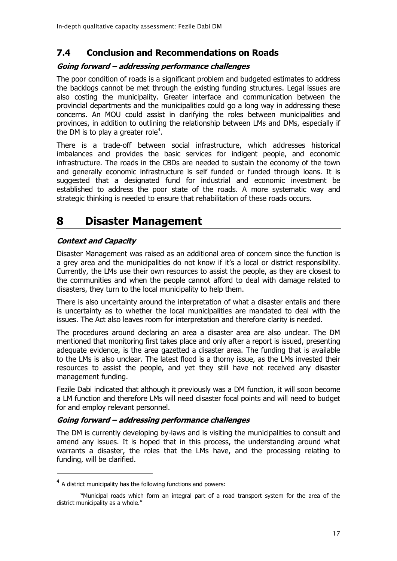## <span id="page-19-0"></span>**7.4 Conclusion and Recommendations on Roads**

#### **Going forward – addressing performance challenges**

The poor condition of roads is a significant problem and budgeted estimates to address the backlogs cannot be met through the existing funding structures. Legal issues are also costing the municipality. Greater interface and communication between the provincial departments and the municipalities could go a long way in addressing these concerns. An MOU could assist in clarifying the roles between municipalities and provinces, in addition to outlining the relationship between LMs and DMs, especially if the DM is to play a greater role<sup>4</sup>.

There is a trade-off between social infrastructure, which addresses historical imbalances and provides the basic services for indigent people, and economic infrastructure. The roads in the CBDs are needed to sustain the economy of the town and generally economic infrastructure is self funded or funded through loans. It is suggested that a designated fund for industrial and economic investment be established to address the poor state of the roads. A more systematic way and strategic thinking is needed to ensure that rehabilitation of these roads occurs.

## <span id="page-19-1"></span>**8 Disaster Management**

#### **Context and Capacity**

-

Disaster Management was raised as an additional area of concern since the function is a grey area and the municipalities do not know if it's a local or district responsibility. Currently, the LMs use their own resources to assist the people, as they are closest to the communities and when the people cannot afford to deal with damage related to disasters, they turn to the local municipality to help them.

There is also uncertainty around the interpretation of what a disaster entails and there is uncertainty as to whether the local municipalities are mandated to deal with the issues. The Act also leaves room for interpretation and therefore clarity is needed.

The procedures around declaring an area a disaster area are also unclear. The DM mentioned that monitoring first takes place and only after a report is issued, presenting adequate evidence, is the area gazetted a disaster area. The funding that is available to the LMs is also unclear. The latest flood is a thorny issue, as the LMs invested their resources to assist the people, and yet they still have not received any disaster management funding.

Fezile Dabi indicated that although it previously was a DM function, it will soon become a LM function and therefore LMs will need disaster focal points and will need to budget for and employ relevant personnel.

#### **Going forward – addressing performance challenges**

The DM is currently developing by-laws and is visiting the municipalities to consult and amend any issues. It is hoped that in this process, the understanding around what warrants a disaster, the roles that the LMs have, and the processing relating to funding, will be clarified.

 $4$  A district municipality has the following functions and powers:

<sup>&</sup>quot;Municipal roads which form an integral part of a road transport system for the area of the district municipality as a whole."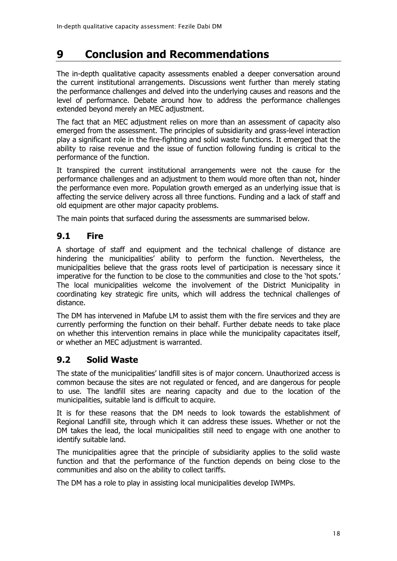## <span id="page-20-0"></span>**9 Conclusion and Recommendations**

The in-depth qualitative capacity assessments enabled a deeper conversation around the current institutional arrangements. Discussions went further than merely stating the performance challenges and delved into the underlying causes and reasons and the level of performance. Debate around how to address the performance challenges extended beyond merely an MEC adjustment.

The fact that an MEC adjustment relies on more than an assessment of capacity also emerged from the assessment. The principles of subsidiarity and grass-level interaction play a significant role in the fire-fighting and solid waste functions. It emerged that the ability to raise revenue and the issue of function following funding is critical to the performance of the function.

It transpired the current institutional arrangements were not the cause for the performance challenges and an adjustment to them would more often than not, hinder the performance even more. Population growth emerged as an underlying issue that is affecting the service delivery across all three functions. Funding and a lack of staff and old equipment are other major capacity problems.

The main points that surfaced during the assessments are summarised below.

## <span id="page-20-1"></span>**9.1 Fire**

A shortage of staff and equipment and the technical challenge of distance are hindering the municipalities' ability to perform the function. Nevertheless, the municipalities believe that the grass roots level of participation is necessary since it imperative for the function to be close to the communities and close to the 'hot spots.' The local municipalities welcome the involvement of the District Municipality in coordinating key strategic fire units, which will address the technical challenges of distance.

The DM has intervened in Mafube LM to assist them with the fire services and they are currently performing the function on their behalf. Further debate needs to take place on whether this intervention remains in place while the municipality capacitates itself, or whether an MEC adjustment is warranted.

## <span id="page-20-2"></span>**9.2 Solid Waste**

The state of the municipalities' landfill sites is of major concern. Unauthorized access is common because the sites are not regulated or fenced, and are dangerous for people to use. The landfill sites are nearing capacity and due to the location of the municipalities, suitable land is difficult to acquire.

It is for these reasons that the DM needs to look towards the establishment of Regional Landfill site, through which it can address these issues. Whether or not the DM takes the lead, the local municipalities still need to engage with one another to identify suitable land.

The municipalities agree that the principle of subsidiarity applies to the solid waste function and that the performance of the function depends on being close to the communities and also on the ability to collect tariffs.

The DM has a role to play in assisting local municipalities develop IWMPs.